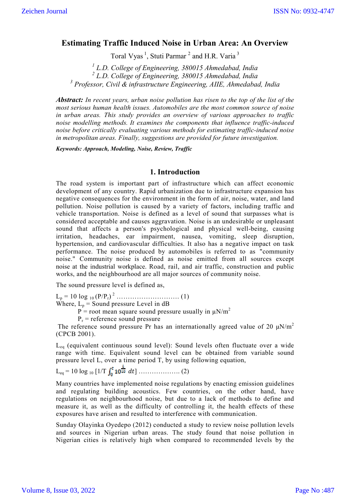# **Estimating Traffic Induced Noise in Urban Area: An Overview**

Toral Vyas<sup>1</sup>, Stuti Parmar<sup>2</sup> and H.R. Varia<sup>3</sup>

*<sup>1</sup> L.D. College of Engineering, 380015 Ahmedabad, India <sup>2</sup> L.D. College of Engineering, 380015 Ahmedabad, India <sup>3</sup> Professor, Civil & infrastructure Engineering, AIIE, Ahmedabad, India*

*Abstract: In recent years, urban noise pollution has risen to the top of the list of the most serious human health issues. Automobiles are the most common source of noise in urban areas. This study provides an overview of various approaches to traffic noise modelling methods. It examines the components that influence traffic-induced noise before critically evaluating various methods for estimating traffic-induced noise in metropolitan areas. Finally, suggestions are provided for future investigation.*

*Keywords: Approach, Modeling, Noise, Review, Traffic*

#### **1. Introduction**

The road system is important part of infrastructure which can affect economic development of any country. Rapid urbanization due to infrastructure expansion has negative consequences for the environment in the form of air, noise, water, and land pollution. Noise pollution is caused by a variety of factors, including traffic and vehicle transportation. Noise is defined as a level of sound that surpasses what is considered acceptable and causes aggravation. Noise is an undesirable or unpleasant sound that affects a person's psychological and physical well-being, causing irritation, headaches, ear impairment, nausea, vomiting, sleep disruption, hypertension, and cardiovascular difficulties. It also has a negative impact on task performance. The noise produced by automobiles is referred to as "community noise." Community noise is defined as noise emitted from all sources except noise at the industrial workplace. Road, rail, and air traffic, construction and public works, and the neighbourhood are all major sources of community noise.

The sound pressure level is defined as,

Lp = 10 log 10 (P/Pr) <sup>2</sup> ………………………. (1)

Where,  $L_p$  = Sound pressure Level in dB

 $\overrightarrow{P}$  = root mean square sound pressure usually in  $\mu$ N/m<sup>2</sup>

 $P_r$  = reference sound pressure

The reference sound pressure Pr has an internationally agreed value of 20  $\mu$ N/m<sup>2</sup> (CPCB 2001).

 $L_{eq}$  (equivalent continuous sound level): Sound levels often fluctuate over a wide range with time. Equivalent sound level can be obtained from variable sound pressure level L, over a time period T, by using following equation,

Leq = 10 log 10 [1/T ] ………………. (2)

Many countries have implemented noise regulations by enacting emission guidelines and regulating building acoustics. Few countries, on the other hand, have regulations on neighbourhood noise, but due to a lack of methods to define and measure it, as well as the difficulty of controlling it, the health effects of these exposures have arisen and resulted to interference with communication.

Sunday Olayinka Oyedepo (2012) conducted a study to review noise pollution levels and sources in Nigerian urban areas. The study found that noise pollution in Nigerian cities is relatively high when compared to recommended levels by the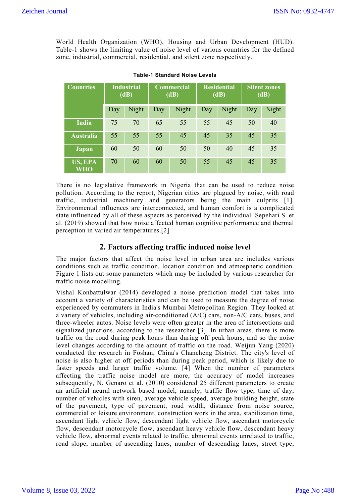World Health Organization (WHO), Housing and Urban Development (HUD). Table-1 shows the limiting value of noise level of various countries for the defined zone, industrial, commercial, residential, and silent zone respectively.

| <b>Countries</b>             | <b>Industrial</b><br>(dB) |       | <b>Commercial</b><br>(dB) |       | <b>Residential</b><br>(dB) |       | <b>Silent zones</b><br>(dB) |       |
|------------------------------|---------------------------|-------|---------------------------|-------|----------------------------|-------|-----------------------------|-------|
|                              | Day                       | Night | Day                       | Night | Day                        | Night | Day                         | Night |
| <b>India</b>                 | 75                        | 70    | 65                        | 55    | 55                         | 45    | 50                          | 40    |
| <b>Australia</b>             | 55                        | 55    | 55                        | 45    | 45                         | 35    | 45                          | 35    |
| <b>Japan</b>                 | 60                        | 50    | 60                        | 50    | 50                         | 40    | 45                          | 35    |
| <b>US, EPA</b><br><b>WHO</b> | 70                        | 60    | 60                        | 50    | 55                         | 45    | 45                          | 35    |

**Table-1 Standard Noise Levels**

There is no legislative framework in Nigeria that can be used to reduce noise pollution. According to the report, Nigerian cities are plagued by noise, with road traffic, industrial machinery and generators being the main culprits [1]. Environmental influences are interconnected, and human comfort is a complicated state influenced by all of these aspects as perceived by the individual. Sepehari S. et al. (2019) showed that how noise affected human cognitive performance and thermal perception in varied air temperatures.[2]

## **2. Factors affecting traffic induced noise level**

The major factors that affect the noise level in urban area are includes various conditions such as traffic condition, location condition and atmospheric condition. Figure 1 lists out some parameters which may be included by various researcher for traffic noise modelling.

Vishal Konbattulwar (2014) developed a noise prediction model that takes into account a variety of characteristics and can be used to measure the degree of noise experienced by commuters in India's Mumbai Metropolitan Region. They looked at a variety of vehicles, including air-conditioned (A/C) cars, non-A/C cars, buses, and three-wheeler autos. Noise levels were often greater in the area of intersections and signalized junctions, according to the researcher [3]. In urban areas, there is more traffic on the road during peak hours than during off peak hours, and so the noise level changes according to the amount of traffic on the road. Weijun Yang (2020) conducted the research in Foshan, China's Chancheng District. The city's level of noise is also higher at off periods than during peak period, which is likely due to faster speeds and larger traffic volume. [4] When the number of parameters affecting the traffic noise model are more, the accuracy of model increases subsequently, N. Genaro et al. (2010) considered 25 different parameters to create an artificial neural network based model, namely, traffic flow type, time of day, number of vehicles with siren, average vehicle speed, average building height, state of the pavement, type of pavement, road width, distance from noise source, commercial or leisure environment, construction work in the area, stabilization time, ascendant light vehicle flow, descendant light vehicle flow, ascendant motorcycle flow, descendant motorcycle flow, ascendant heavy vehicle flow, descendant heavy vehicle flow, abnormal events related to traffic, abnormal events unrelated to traffic, road slope, number of ascending lanes, number of descending lanes, street type,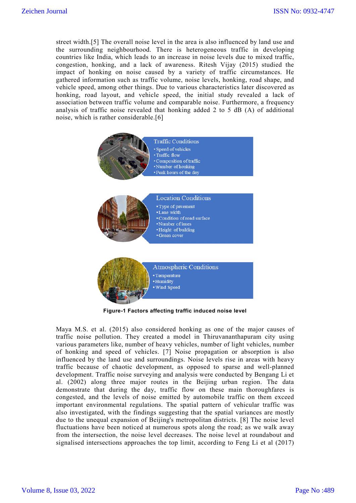street width.[5] The overall noise level in the area is also influenced by land use and the surrounding neighbourhood. There is heterogeneous traffic in developing countries like India, which leads to an increase in noise levels due to mixed traffic, congestion, honking, and a lack of awareness. Ritesh Vijay (2015) studied the impact of honking on noise caused by a variety of traffic circumstances. He gathered information such as traffic volume, noise levels, honking, road shape, and vehicle speed, among other things. Due to various characteristics later discovered as honking, road layout, and vehicle speed, the initial study revealed a lack of association between traffic volume and comparable noise. Furthermore, a frequency analysis of traffic noise revealed that honking added 2 to 5 dB (A) of additional noise, which is rather considerable.[6]



**Figure-1 Factors affecting traffic induced noise level**

Maya M.S. et al. (2015) also considered honking as one of the major causes of traffic noise pollution. They created a model in Thiruvananthapuram city using various parameters like, number of heavy vehicles, number of light vehicles, number of honking and speed of vehicles. [7] Noise propagation or absorption is also influenced by the land use and surroundings. Noise levels rise in areas with heavy traffic because of chaotic development, as opposed to sparse and well-planned development. Traffic noise surveying and analysis were conducted by Bengang Li et al. (2002) along three major routes in the Beijing urban region. The data demonstrate that during the day, traffic flow on these main thoroughfares is congested, and the levels of noise emitted by automobile traffic on them exceed important environmental regulations. The spatial pattern of vehicular traffic was also investigated, with the findings suggesting that the spatial variances are mostly due to the unequal expansion of Beijing's metropolitan districts. [8] The noise level fluctuations have been noticed at numerous spots along the road; as we walk away from the intersection, the noise level decreases. The noise level at roundabout and signalised intersections approaches the top limit, according to Feng Li et al (2017)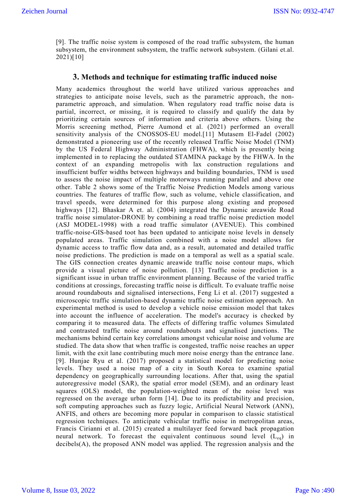[9]. The traffic noise system is composed of the road traffic subsystem, the human subsystem, the environment subsystem, the traffic network subsystem. (Gilani et.al. 2021)[10]

### **3. Methods and technique for estimating traffic induced noise**

Many academics throughout the world have utilized various approaches and strategies to anticipate noise levels, such as the parametric approach, the nonparametric approach, and simulation. When regulatory road traffic noise data is partial, incorrect, or missing, it is required to classify and qualify the data by prioritizing certain sources of information and criteria above others. Using the Morris screening method, Pierre Aumond et al. (2021) performed an overall sensitivity analysis of the CNOSSOS-EU model.[11] Mutasem El-Fadel (2002) demonstrated a pioneering use of the recently released Traffic Noise Model (TNM) by the US Federal Highway Administration (FHWA), which is presently being implemented in to replacing the outdated STAMINA package by the FHWA. In the context of an expanding metropolis with lax construction regulations and insufficient buffer widths between highways and building boundaries, TNM is used to assess the noise impact of multiple motorways running parallel and above one other. Table 2 shows some of the Traffic Noise Prediction Models among various countries. The features of traffic flow, such as volume, vehicle classification, and travel speeds, were determined for this purpose along existing and proposed highways [12]. Bhaskar A et. al. (2004) integrated the Dynamic areawide Road traffic noise simulator-DRONE by combining a road traffic noise prediction model (ASJ MODEL-1998) with a road traffic simulator (AVENUE). This combined traffic-noise-GIS-based toot has been updated to anticipate noise levels in densely populated areas. Traffic simulation combined with a noise model allows for dynamic access to traffic flow data and, as a result, automated and detailed traffic noise predictions. The prediction is made on a temporal as well as a spatial scale. The GIS connection creates dynamic areawide traffic noise contour maps, which provide a visual picture of noise pollution. [13] Traffic noise prediction is a significant issue in urban traffic environment planning. Because of the varied traffic conditions at crossings, forecasting traffic noise is difficult. To evaluate traffic noise around roundabouts and signalised intersections, Feng Li et al. (2017) suggested a microscopic traffic simulation-based dynamic traffic noise estimation approach. An experimental method is used to develop a vehicle noise emission model that takes into account the influence of acceleration. The model's accuracy is checked by comparing it to measured data. The effects of differing traffic volumes Simulated and contrasted traffic noise around roundabouts and signalised junctions. The mechanisms behind certain key correlations amongst vehicular noise and volume are studied. The data show that when traffic is congested, traffic noise reaches an upper limit, with the exit lane contributing much more noise energy than the entrance lane. [9]. Hunjae Ryu et al. (2017) proposed a statistical model for predicting noise levels. They used a noise map of a city in South Korea to examine spatial dependency on geographically surrounding locations. After that, using the spatial autoregressive model (SAR), the spatial error model (SEM), and an ordinary least squares (OLS) model, the population-weighted mean of the noise level was regressed on the average urban form [14]. Due to its predictability and precision, soft computing approaches such as fuzzy logic, Artificial Neural Network (ANN), ANFIS, and others are becoming more popular in comparison to classic statistical regression techniques. To anticipate vehicular traffic noise in metropolitan areas, Francis Cirianni et al. (2015) created a multilayer feed forward back propagation neural network. To forecast the equivalent continuous sound level  $(L_{eq})$  in decibels(A), the proposed ANN model was applied. The regression analysis and the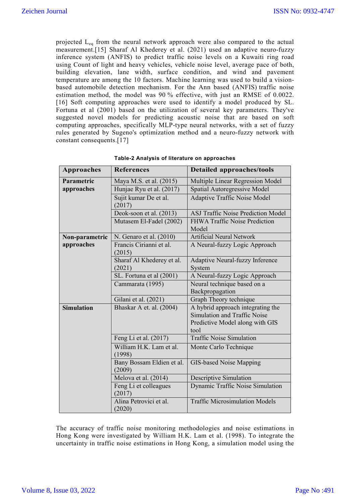projected Leq from the neural network approach were also compared to the actual measurement.[15] Sharaf Al Khederey et al. (2021) used an adaptive neuro-fuzzy inference system (ANFIS) to predict traffic noise levels on a Kuwaiti ring road using Count of light and heavy vehicles, vehicle noise level, average pace of both, building elevation, lane width, surface condition, and wind and pavement temperature are among the 10 factors. Machine learning was used to build a visionbased automobile detection mechanism. For the Ann based (ANFIS) traffic noise estimation method, the model was 90 % effective, with just an RMSE of 0.0022. [16] Soft computing approaches were used to identify a model produced by SL. Fortuna et al (2001) based on the utilization of several key parameters. They've suggested novel models for predicting acoustic noise that are based on soft computing approaches, specifically MLP-type neural networks, with a set of fuzzy rules generated by Sugeno's optimization method and a neuro-fuzzy network with constant consequents.[17]

| <b>Approaches</b> | <b>References</b>                   | <b>Detailed approaches/tools</b>              |
|-------------------|-------------------------------------|-----------------------------------------------|
| Parametric        | Maya M.S. et al. (2015)             | Multiple Linear Regression Model              |
| approaches        | Hunjae Ryu et al. (2017)            | Spatial Autoregressive Model                  |
|                   | Sujit kumar De et al.<br>(2017)     | <b>Adaptive Traffic Noise Model</b>           |
|                   | Deok-soon et al. (2013)             | <b>ASJ Traffic Noise Prediction Model</b>     |
|                   | Mutasem El-Fadel (2002)             | <b>FHWA Traffic Noise Prediction</b><br>Model |
| Non-parametric    | N. Genaro et al. (2010)             | <b>Artificial Neural Network</b>              |
| approaches        | Francis Cirianni et al.<br>(2015)   | A Neural-fuzzy Logic Approach                 |
|                   | Sharaf Al Khederey et al.<br>(2021) | Adaptive Neural-fuzzy Inference<br>System     |
|                   | SL. Fortuna et al (2001)            | A Neural-fuzzy Logic Approach                 |
|                   | Cammarata (1995)                    | Neural technique based on a                   |
|                   |                                     | Backpropagation                               |
|                   | Gilani et al. (2021)                | Graph Theory technique                        |
| <b>Simulation</b> | Bhaskar A et. al. (2004)            | A hybrid approach integrating the             |
|                   |                                     | Simulation and Traffic Noise                  |
|                   |                                     | Predictive Model along with GIS<br>tool       |
|                   | Feng Li et al. (2017)               | <b>Traffic Noise Simulation</b>               |
|                   | William H.K. Lam et al.             |                                               |
|                   | (1998)                              | Monte Carlo Technique                         |
|                   | Bany Bossam Eldien et al.<br>(2009) | GIS-based Noise Mapping                       |
|                   | Melova et al. (2014)                | <b>Descriptive Simulation</b>                 |
|                   | Feng Li et colleagues<br>(2017)     | Dynamic Traffic Noise Simulation              |
|                   | Alina Petrovici et al.<br>(2020)    | <b>Traffic Microsimulation Models</b>         |

| Table-2 Analysis of literature on approaches |  |  |
|----------------------------------------------|--|--|
|----------------------------------------------|--|--|

The accuracy of traffic noise monitoring methodologies and noise estimations in Hong Kong were investigated by William H.K. Lam et al. (1998). To integrate the uncertainty in traffic noise estimations in Hong Kong, a simulation model using the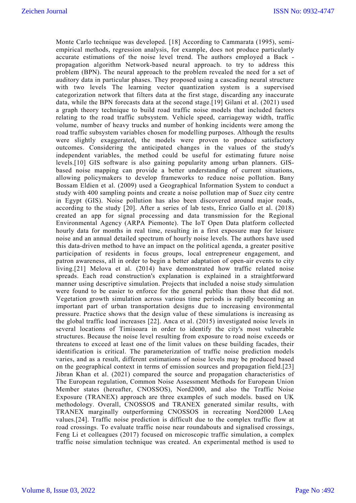Monte Carlo technique was developed. [18] According to Cammarata (1995), semiempirical methods, regression analysis, for example, does not produce particularly accurate estimations of the noise level trend. The authors employed a Back propagation algorithm Network-based neural approach. to try to address this problem (BPN). The neural approach to the problem revealed the need for a set of auditory data in particular phases. They proposed using a cascading neural structure with two levels The learning vector quantization system is a supervised categorization network that filters data at the first stage, discarding any inaccurate data, while the BPN forecasts data at the second stage.[19] Gilani et al. (2021) used a graph theory technique to build road traffic noise models that included factors relating to the road traffic subsystem. Vehicle speed, carriageway width, traffic volume, number of heavy trucks and number of honking incidents were among the road traffic subsystem variables chosen for modelling purposes. Although the results were slightly exaggerated, the models were proven to produce satisfactory outcomes. Considering the anticipated changes in the values of the study's independent variables, the method could be useful for estimating future noise levels.[10] GIS software is also gaining popularity among urban planners. GISbased noise mapping can provide a better understanding of current situations, allowing policymakers to develop frameworks to reduce noise pollution. Bany Bossam Eldien et al. (2009) used a Geographical Information System to conduct a study with 400 sampling points and create a noise pollution map of Suez city centre in Egypt (GIS). Noise pollution has also been discovered around major roads, according to the study [20]. After a series of lab tests, Enrico Gallo et al. (2018) created an app for signal processing and data transmission for the Regional Environmental Agency (ARPA Piemonte). The IoT Open Data platform collected hourly data for months in real time, resulting in a first exposure map for leisure noise and an annual detailed spectrum of hourly noise levels. The authors have used this data-driven method to have an impact on the political agenda, a greater positive participation of residents in focus groups, local entrepreneur engagement, and patron awareness, all in order to begin a better adaptation of open-air events to city living.[21] Melova et al. (2014) have demonstrated how traffic related noise spreads. Each road construction's explanation is explained in a straightforward manner using descriptive simulation. Projects that included a noise study simulation were found to be easier to enforce for the general public than those that did not. Vegetation growth simulation across various time periods is rapidly becoming an important part of urban transportation designs due to increasing environmental pressure. Practice shows that the design value of these simulations is increasing as the global traffic load increases [22]. Anca et al. (2015) investigated noise levels in several locations of Timisoara in order to identify the city's most vulnerable structures. Because the noise level resulting from exposure to road noise exceeds or threatens to exceed at least one of the limit values on these building facades, their identification is critical. The parameterization of traffic noise prediction models varies, and as a result, different estimations of noise levels may be produced based on the geographical context in terms of emission sources and propagation field.[23] Jibran Khan et al. (2021) compared the source and propagation characteristics of The European regulation, Common Noise Assessment Methods for European Union Member states (hereafter, CNOSSOS), Nord2000, and also the Traffic Noise Exposure (TRANEX) approach are three examples of such models. based on UK methodology. Overall, CNOSSOS and TRANEX generated similar results, with TRANEX marginally outperforming CNOSSOS in recreating Nord2000 LAeq values.[24]. Traffic noise prediction is difficult due to the complex traffic flow at road crossings. To evaluate traffic noise near roundabouts and signalised crossings, Feng Li et colleagues (2017) focused on microscopic traffic simulation, a complex traffic noise simulation technique was created. An experimental method is used to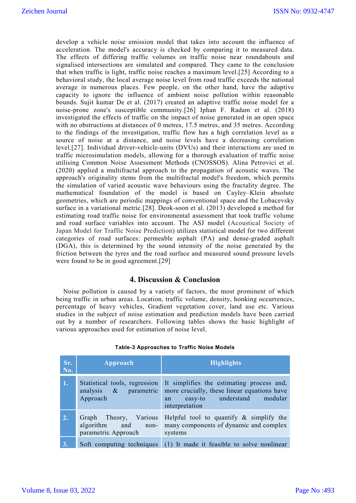develop a vehicle noise emission model that takes into account the influence of acceleration. The model's accuracy is checked by comparing it to measured data. The effects of differing traffic volumes on traffic noise near roundabouts and signalised intersections are simulated and compared. They came to the conclusion that when traffic is light, traffic noise reaches a maximum level.[25] According to a behavioral study, the local average noise level from road traffic exceeds the national average in numerous places. Few people, on the other hand, have the adaptive capacity to ignore the influence of ambient noise pollution within reasonable bounds. Sujit kumar De et al. (2017) created an adaptive traffic noise model for a noise-prone zone's susceptible community.[26] Iphan F. Radam et al. (2018) investigated the effects of traffic on the impact of noise generated in an open space with no obstructions at distances of 0 metres, 17.5 metres, and 35 metres. According to the findings of the investigation, traffic flow has a high correlation level as a source of noise at a distance, and noise levels have a decreasing correlation level.[27]. Individual driver-vehicle-units (DVUs) and their interactions are used in traffic microsimulation models, allowing for a thorough evaluation of traffic noise utilising Common Noise Assessment Methods (CNOSSOS). Alina Petrovici et al. (2020) applied a multifractal approach to the propagation of acoustic waves. The approach's originality stems from the multifractal model's freedom, which permits the simulation of varied acoustic wave behaviours using the fractality degree. The mathematical foundation of the model is based on Cayley–Klein absolute geometries, which are periodic mappings of conventional space and the Lobacevsky surface in a variational metric.[28]. Deok-soon et al. (2013) developed a method for estimating road traffic noise for environmental assessment that took traffic volume and road surface variables into account. The ASJ model (Acoustical Society of Japan Model for Traffic Noise Prediction) utilizes statistical model for two different categories of road surfaces: permeable asphalt (PA) and dense-graded asphalt (DGA), this is determined by the sound intensity of the noise generated by the friction between the tyres and the road surface and measured sound pressure levels were found to be in good agreement.[29]

### **4. Discussion & Conclusion**

Noise pollution is caused by a variety of factors, the most prominent of which being traffic in urban areas. Location, traffic volume, density, honking occurrences, percentage of heavy vehicles, Gradient vegetation cover, land use etc. Various studies in the subject of noise estimation and prediction models have been carried out by a number of researchers. Following tables shows the basic highlight of various approaches used for estimation of noise level.

| Sr.<br>No. | Approach                                                           | <b>Highlights</b>                                                                                                                              |
|------------|--------------------------------------------------------------------|------------------------------------------------------------------------------------------------------------------------------------------------|
| 1.         | Statistical tools, regression<br>analysis & parametric<br>Approach | It simplifies the estimating process and,<br>more crucially, these linear equations have<br>easy-to understand modular<br>an<br>interpretation |
| 2.         | Graph Theory, Various<br>algorithm and non-<br>parametric Approach | Helpful tool to quantify $\&$ simplify the<br>many components of dynamic and complex<br>systems                                                |
| 3.         |                                                                    | Soft computing techniques $(1)$ It made it feasible to solve nonlinear                                                                         |

#### **Table-3 Approaches to Traffic Noise Models**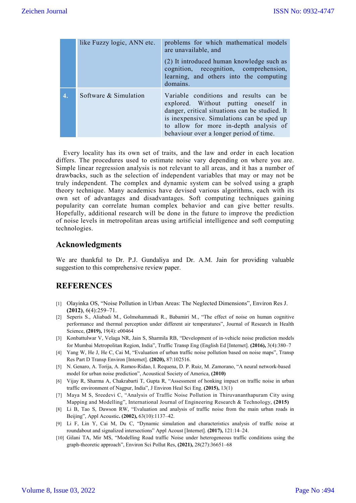|    | like Fuzzy logic, ANN etc. | problems for which mathematical models<br>are unavailable, and<br>(2) It introduced human knowledge such as<br>cognition, recognition, comprehension,<br>learning, and others into the computing<br>domains.                                                        |
|----|----------------------------|---------------------------------------------------------------------------------------------------------------------------------------------------------------------------------------------------------------------------------------------------------------------|
| 4. | Software & Simulation      | Variable conditions and results can be<br>explored. Without putting oneself in<br>danger, critical situations can be studied. It<br>is inexpensive. Simulations can be sped up<br>to allow for more in-depth analysis of<br>behaviour over a longer period of time. |

Every locality has its own set of traits, and the law and order in each location differs. The procedures used to estimate noise vary depending on where you are. Simple linear regression analysis is not relevant to all areas, and it has a number of drawbacks, such as the selection of independent variables that may or may not be truly independent. The complex and dynamic system can be solved using a graph theory technique. Many academics have devised various algorithms, each with its own set of advantages and disadvantages. Soft computing techniques gaining popularity can correlate human complex behavior and can give better results. Hopefully, additional research will be done in the future to improve the prediction of noise levels in metropolitan areas using artificial intelligence and soft computing technologies.

## **Acknowledgments**

We are thankful to Dr. P.J. Gundaliya and Dr. A.M. Jain for providing valuable suggestion to this comprehensive review paper.

## **REFERENCES**

- [1] Olayinka OS, "Noise Pollution in Urban Areas: The Neglected Dimensions", Environ Res J. **(2012)**, 6(4):259–71.
- [2] Seperis S., Aliabadi M., Golmohammadi R., Babamiri M., "The effect of noise on human cognitive performance and thermal perception under different air temperatures", Journal of Research in Health Science, **(2019),** 19(4): e00464
- [3] Konbattulwar V, Velaga NR, Jain S, Sharmila RB, "Development of in-vehicle noise prediction models for Mumbai Metropolitan Region, India", Traffic Transp Eng (English Ed [Internet]. **(2016),** 3(4):380–7
- [4] Yang W, He J, He C, Cai M, "Evaluation of urban traffic noise pollution based on noise maps", Transp Res Part D Transp Environ [Internet]. **(2020),** 87:102516.
- [5] N. Genaro, A. Torija, A. Ramos-Ridao, I. Requena, D. P. Ruiz, M. Zamorano, "A neural network-based model for urban noise prediction", Acoustical Society of America, **(2010)**
- [6] Vijay R, Sharma A, Chakrabarti T, Gupta R, "Assessment of honking impact on traffic noise in urban traffic environment of Nagpur, India", J Environ Heal Sci Eng. **(2015),** 13(1)
- [7] Maya M S, Sreedevi C, "Analysis of Traffic Noise Pollution in Thiruvananthapuram City using Mapping and Modelling", International Journal of Engineering Research & Technology, **(2015)**
- [8] Li B, Tao S, Dawson RW, "Evaluation and analysis of traffic noise from the main urban roads in Beijing", Appl Acoustic**. (2002),** 63(10):1137–42.
- [9] Li F, Lin Y, Cai M, Du C, "Dynamic simulation and characteristics analysis of traffic noise at roundabout and signalized intersections" Appl Acoust [Internet]. **(2017),** 121:14–24.
- [10] Gilani TA, Mir MS, "Modelling Road traffic Noise under heterogeneous traffic conditions using the graph-theoretic approach", Environ Sci Pollut Res, **(2021),** 28(27):36651–68